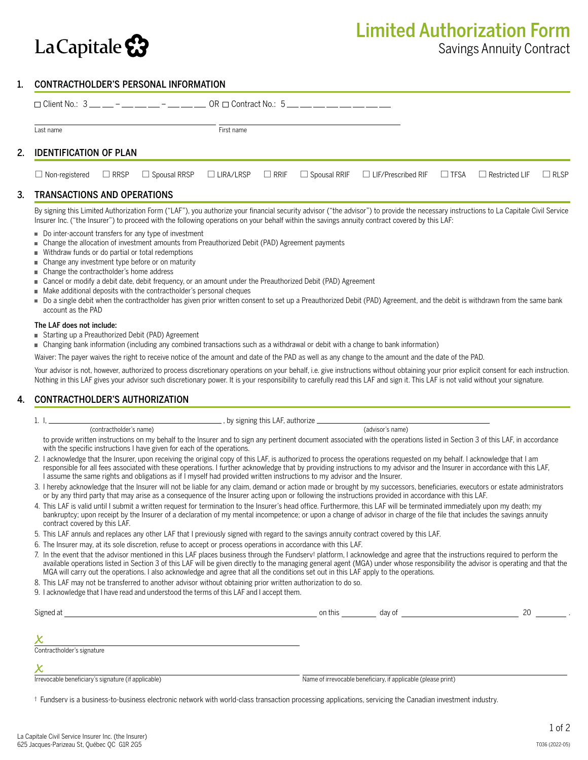

# 1. CONTRACTHOLDER'S PERSONAL INFORMATION

|                           |  | $\Box$ Client No.: 3 __ __ - __ __ __ - __ __ __ OR $\Box$ Contract No.: 5 __ __ __ __ __ __ __ __ __ |  |  |  |                                                                                                                                                                                |  |  |  |
|---------------------------|--|-------------------------------------------------------------------------------------------------------|--|--|--|--------------------------------------------------------------------------------------------------------------------------------------------------------------------------------|--|--|--|
| Last name                 |  | First name                                                                                            |  |  |  |                                                                                                                                                                                |  |  |  |
| 2. IDENTIFICATION OF PLAN |  |                                                                                                       |  |  |  |                                                                                                                                                                                |  |  |  |
|                           |  |                                                                                                       |  |  |  | $\Box$ Non-registered $\Box$ RRSP $\Box$ Spousal RRSP $\Box$ LIRA/LRSP $\Box$ RRIF $\Box$ Spousal RRIF $\Box$ LIF/Prescribed RIF $\Box$ TFSA $\Box$ Restricted LIF $\Box$ RLSP |  |  |  |
|                           |  |                                                                                                       |  |  |  |                                                                                                                                                                                |  |  |  |

## 3. TRANSACTIONS AND OPERATIONS

By signing this Limited Authorization Form ("LAF"), you authorize your financial security advisor ("the advisor") to provide the necessary instructions to La Capitale Civil Service Insurer Inc. ("the Insurer") to proceed with the following operations on your behalf within the savings annuity contract covered by this LAF:

- Do inter-account transfers for any type of investment
- Change the allocation of investment amounts from Preauthorized Debit (PAD) Agreement payments
- Withdraw funds or do partial or total redemptions
- Change any investment type before or on maturity
- Change the contractholder's home address
- Cancel or modify a debit date, debit frequency, or an amount under the Preauthorized Debit (PAD) Agreement
- $\blacksquare$  Make additional deposits with the contractholder's personal cheques
- Do a single debit when the contractholder has given prior written consent to set up a Preauthorized Debit (PAD) Agreement, and the debit is withdrawn from the same bank account as the PAD

#### The LAF does not include:

- Starting up a Preauthorized Debit (PAD) Agreement
- Changing bank information (including any combined transactions such as a withdrawal or debit with a change to bank information)

Waiver: The payer waives the right to receive notice of the amount and date of the PAD as well as any change to the amount and the date of the PAD.

Your advisor is not, however, authorized to process discretionary operations on your behalf, i.e. give instructions without obtaining your prior explicit consent for each instruction. Nothing in this LAF gives your advisor such discretionary power. It is your responsibility to carefully read this LAF and sign it. This LAF is not valid without your signature.

## 4. CONTRACTHOLDER'S AUTHORIZATION

| ., by signing this LAF, authorize _ |
|-------------------------------------|
|-------------------------------------|

(contractholder's name) (advisor's name)

- to provide written instructions on my behalf to the Insurer and to sign any pertinent document associated with the operations listed in Section 3 of this LAF, in accordance with the specific instructions I have given for each of the operations.
- 2. I acknowledge that the Insurer, upon receiving the original copy of this LAF, is authorized to process the operations requested on my behalf. I acknowledge that I am responsible for all fees associated with these operations. I further acknowledge that by providing instructions to my advisor and the Insurer in accordance with this LAF, I assume the same rights and obligations as if I myself had provided written instructions to my advisor and the Insurer.
- 3. I hereby acknowledge that the Insurer will not be liable for any claim, demand or action made or brought by my successors, beneficiaries, executors or estate administrators or by any third party that may arise as a consequence of the Insurer acting upon or following the instructions provided in accordance with this LAF.
- 4. This LAF is valid until I submit a written request for termination to the Insurer's head office. Furthermore, this LAF will be terminated immediately upon my death; my bankruptcy; upon receipt by the Insurer of a declaration of my mental incompetence; or upon a change of advisor in charge of the file that includes the savings annuity contract covered by this LAF.
- 5. This LAF annuls and replaces any other LAF that I previously signed with regard to the savings annuity contract covered by this LAF.
- 6. The Insurer may, at its sole discretion, refuse to accept or process operations in accordance with this LAF.
- 7. In the event that the advisor mentioned in this LAF places business through the Fundserv† platform, I acknowledge and agree that the instructions required to perform the available operations listed in Section 3 of this LAF will be given directly to the managing general agent (MGA) under whose responsibility the advisor is operating and that the MGA will carry out the operations. I also acknowledge and agree that all the conditions set out in this LAF apply to the operations.
- 8. This LAF may not be transferred to another advisor without obtaining prior written authorization to do so.
- 9. I acknowledge that I have read and understood the terms of this LAF and I accept them.

| Signed at                                           | on this | dav of                                                        |  |
|-----------------------------------------------------|---------|---------------------------------------------------------------|--|
|                                                     |         |                                                               |  |
| Х                                                   |         |                                                               |  |
| Contractholder's signature                          |         |                                                               |  |
| X                                                   |         |                                                               |  |
| Irrevocable beneficiary's signature (if applicable) |         | Name of irrevocable beneficiary, if applicable (please print) |  |

† Fundserv is a business-to-business electronic network with world-class transaction processing applications, servicing the Canadian investment industry.